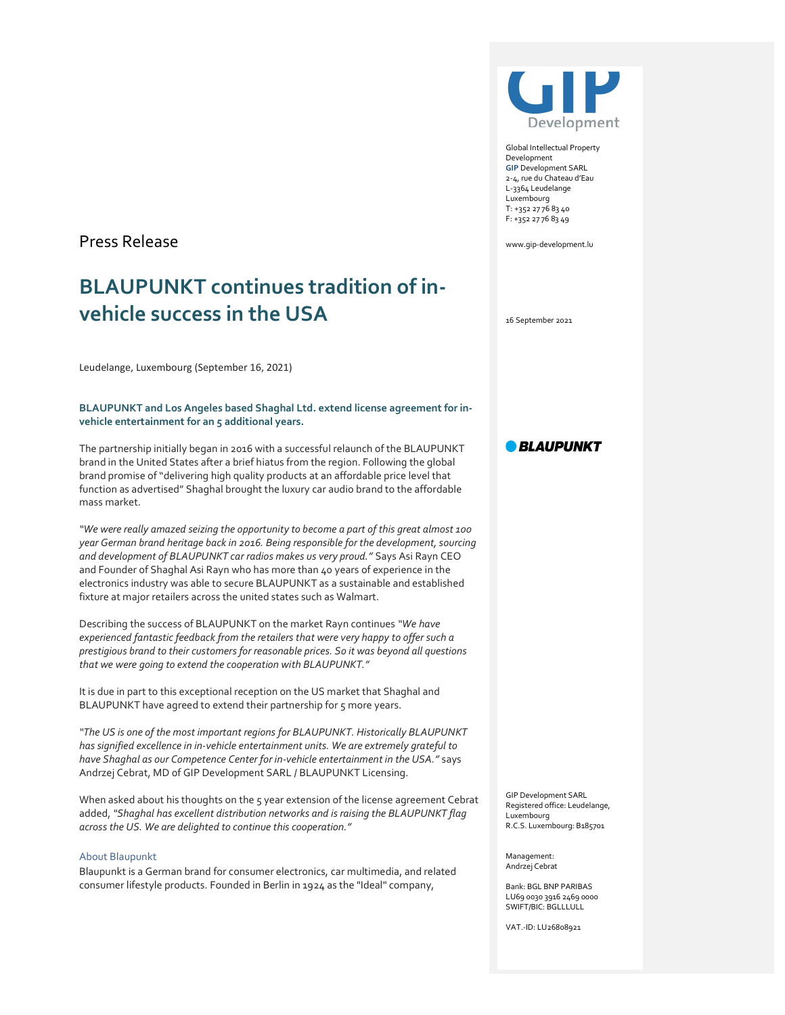## Press Release

# BLAUPUNKT continues tradition of invehicle success in the USA

Leudelange, Luxembourg (September 16, 2021)

#### BLAUPUNKT and Los Angeles based Shaghal Ltd. extend license agreement for invehicle entertainment for an 5 additional years.

The partnership initially began in 2016 with a successful relaunch of the BLAUPUNKT brand in the United States after a brief hiatus from the region. Following the global brand promise of "delivering high quality products at an affordable price level that function as advertised" Shaghal brought the luxury car audio brand to the affordable mass market.

"We were really amazed seizing the opportunity to become a part of this great almost 100 year German brand heritage back in 2016. Being responsible for the development, sourcing and development of BLAUPUNKT car radios makes us very proud." Says Asi Rayn CEO and Founder of Shaghal Asi Rayn who has more than 40 years of experience in the electronics industry was able to secure BLAUPUNKT as a sustainable and established fixture at major retailers across the united states such as Walmart.

Describing the success of BLAUPUNKT on the market Rayn continues "We have experienced fantastic feedback from the retailers that were very happy to offer such a prestigious brand to their customers for reasonable prices. So it was beyond all questions that we were going to extend the cooperation with BLAUPUNKT."

It is due in part to this exceptional reception on the US market that Shaghal and BLAUPUNKT have agreed to extend their partnership for 5 more years.

"The US is one of the most important regions for BLAUPUNKT. Historically BLAUPUNKT has signified excellence in in-vehicle entertainment units. We are extremely grateful to have Shaghal as our Competence Center for in-vehicle entertainment in the USA." says Andrzej Cebrat, MD of GIP Development SARL / BLAUPUNKT Licensing.

When asked about his thoughts on the 5 year extension of the license agreement Cebrat added, "Shaghal has excellent distribution networks and is raising the BLAUPUNKT flag across the US. We are delighted to continue this cooperation."

#### About Blaupunkt

Blaupunkt is a German brand for consumer electronics, car multimedia, and related consumer lifestyle products. Founded in Berlin in 1924 as the "Ideal" company,



Global Intellectual Property Development GIP Development SARL 2-4, rue du Chateau d'Eau L-3364 Leudelange Luxembourg T: +352 27 76 83 40 F: +352 27 76 83 49

www.gip-development.lu

16 September 2021

### **BLAUPUNKT**

GIP Development SARL Registered office: Leudelange, Luxembourg<br>R.C.S. Luxembourg: B185701

Management: Andrzej Cebrat

Bank: BGL BNP PARIBAS LU69 0030 3916 2469 0000 SWIFT/BIC: BGLLLULL

VAT.-ID: LU26808921